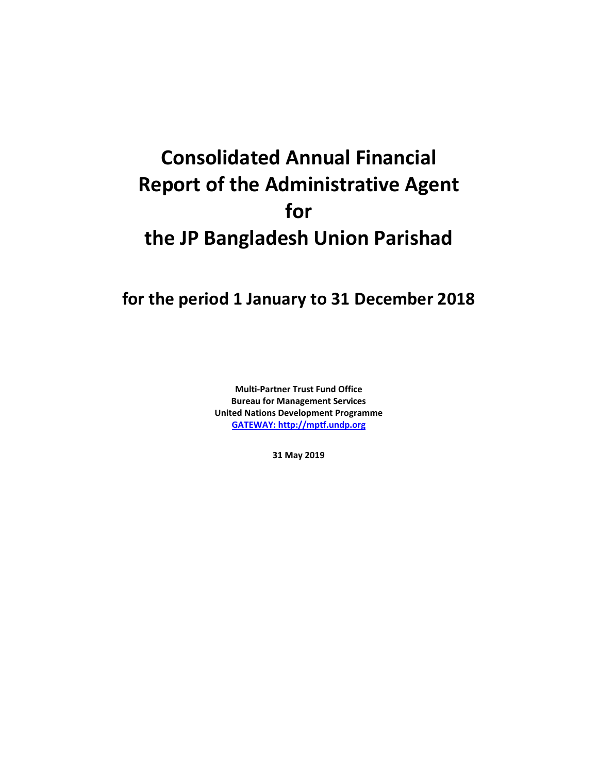## **Consolidated Annual Financial Report of the Administrative Agent for the JP Bangladesh Union Parishad**

## **for the period 1 January to 31 December 2018**

**Multi-Partner Trust Fund Office Bureau for Management Services United Nations Development Programme [GATEWAY: http://mptf.undp.org](http://mptf.undp.org/)**

**31 May 2019**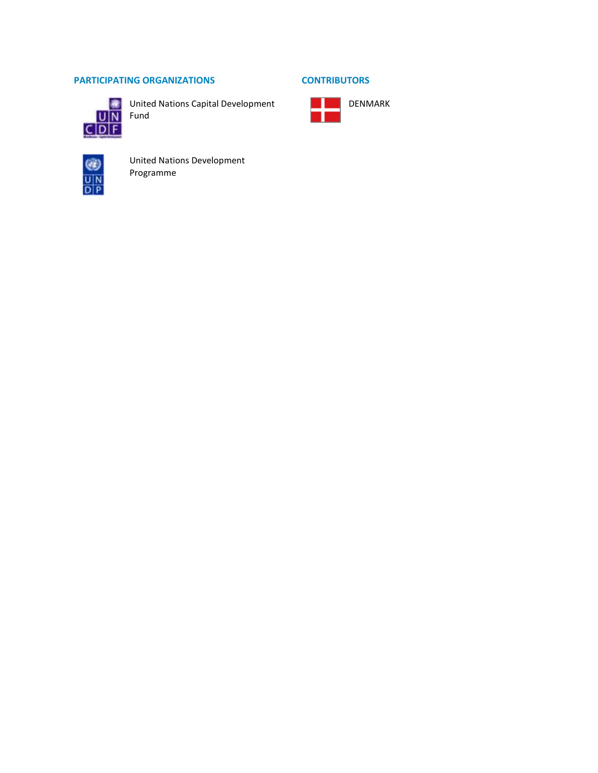## **PARTICIPATING ORGANIZATIONS CONTRIBUTORS**



**United Nations Capital Development** Fund



United Nations Development Programme